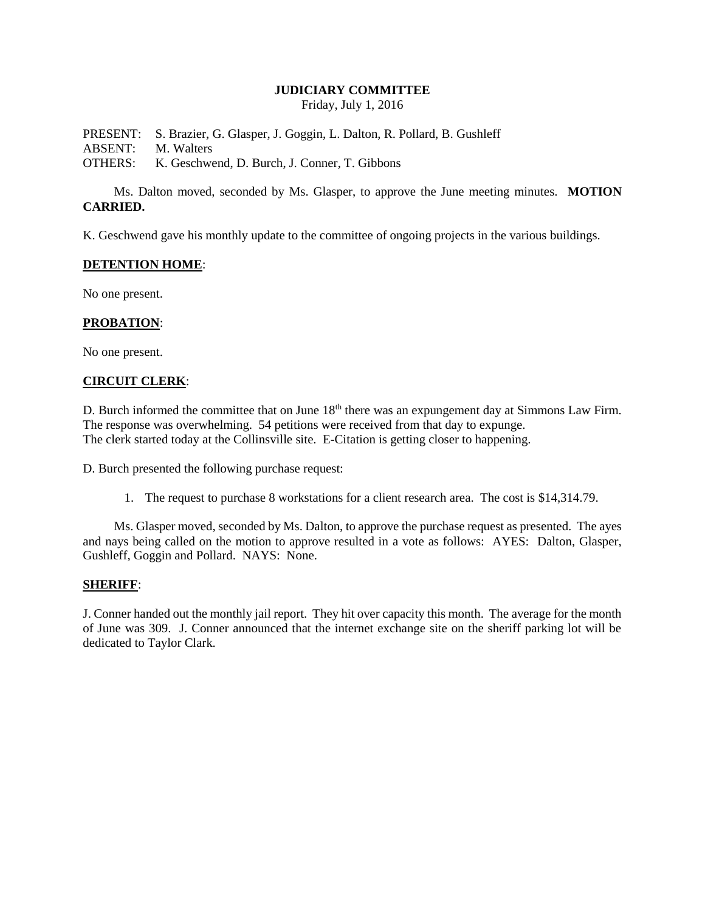## **JUDICIARY COMMITTEE**

Friday, July 1, 2016

PRESENT: S. Brazier, G. Glasper, J. Goggin, L. Dalton, R. Pollard, B. Gushleff ABSENT: M. Walters OTHERS: K. Geschwend, D. Burch, J. Conner, T. Gibbons

Ms. Dalton moved, seconded by Ms. Glasper, to approve the June meeting minutes. **MOTION CARRIED.**

K. Geschwend gave his monthly update to the committee of ongoing projects in the various buildings.

### **DETENTION HOME**:

No one present.

### **PROBATION**:

No one present.

### **CIRCUIT CLERK**:

D. Burch informed the committee that on June 18<sup>th</sup> there was an expungement day at Simmons Law Firm. The response was overwhelming. 54 petitions were received from that day to expunge. The clerk started today at the Collinsville site. E-Citation is getting closer to happening.

D. Burch presented the following purchase request:

1. The request to purchase 8 workstations for a client research area. The cost is \$14,314.79.

Ms. Glasper moved, seconded by Ms. Dalton, to approve the purchase request as presented. The ayes and nays being called on the motion to approve resulted in a vote as follows: AYES: Dalton, Glasper, Gushleff, Goggin and Pollard. NAYS: None.

#### **SHERIFF**:

J. Conner handed out the monthly jail report. They hit over capacity this month. The average for the month of June was 309. J. Conner announced that the internet exchange site on the sheriff parking lot will be dedicated to Taylor Clark.